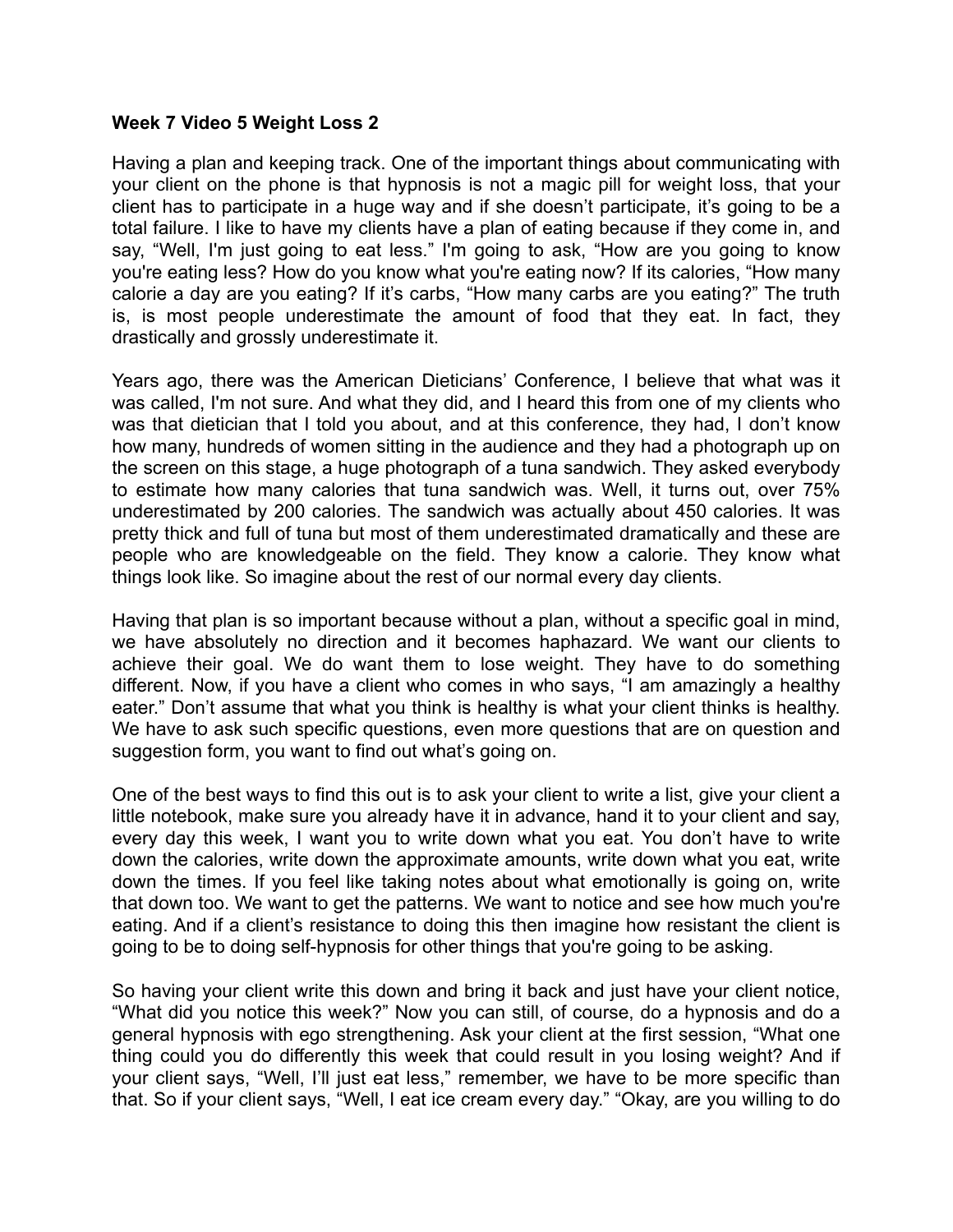## **Week 7 Video 5 Weight Loss 2**

Having a plan and keeping track. One of the important things about communicating with your client on the phone is that hypnosis is not a magic pill for weight loss, that your client has to participate in a huge way and if she doesn't participate, it's going to be a total failure. I like to have my clients have a plan of eating because if they come in, and say, "Well, I'm just going to eat less." I'm going to ask, "How are you going to know you're eating less? How do you know what you're eating now? If its calories, "How many calorie a day are you eating? If it's carbs, "How many carbs are you eating?" The truth is, is most people underestimate the amount of food that they eat. In fact, they drastically and grossly underestimate it.

Years ago, there was the American Dieticians' Conference, I believe that what was it was called, I'm not sure. And what they did, and I heard this from one of my clients who was that dietician that I told you about, and at this conference, they had, I don't know how many, hundreds of women sitting in the audience and they had a photograph up on the screen on this stage, a huge photograph of a tuna sandwich. They asked everybody to estimate how many calories that tuna sandwich was. Well, it turns out, over 75% underestimated by 200 calories. The sandwich was actually about 450 calories. It was pretty thick and full of tuna but most of them underestimated dramatically and these are people who are knowledgeable on the field. They know a calorie. They know what things look like. So imagine about the rest of our normal every day clients.

Having that plan is so important because without a plan, without a specific goal in mind, we have absolutely no direction and it becomes haphazard. We want our clients to achieve their goal. We do want them to lose weight. They have to do something different. Now, if you have a client who comes in who says, "I am amazingly a healthy eater." Don't assume that what you think is healthy is what your client thinks is healthy. We have to ask such specific questions, even more questions that are on question and suggestion form, you want to find out what's going on.

One of the best ways to find this out is to ask your client to write a list, give your client a little notebook, make sure you already have it in advance, hand it to your client and say, every day this week, I want you to write down what you eat. You don't have to write down the calories, write down the approximate amounts, write down what you eat, write down the times. If you feel like taking notes about what emotionally is going on, write that down too. We want to get the patterns. We want to notice and see how much you're eating. And if a client's resistance to doing this then imagine how resistant the client is going to be to doing self-hypnosis for other things that you're going to be asking.

So having your client write this down and bring it back and just have your client notice, "What did you notice this week?" Now you can still, of course, do a hypnosis and do a general hypnosis with ego strengthening. Ask your client at the first session, "What one thing could you do differently this week that could result in you losing weight? And if your client says, "Well, I'll just eat less," remember, we have to be more specific than that. So if your client says, "Well, I eat ice cream every day." "Okay, are you willing to do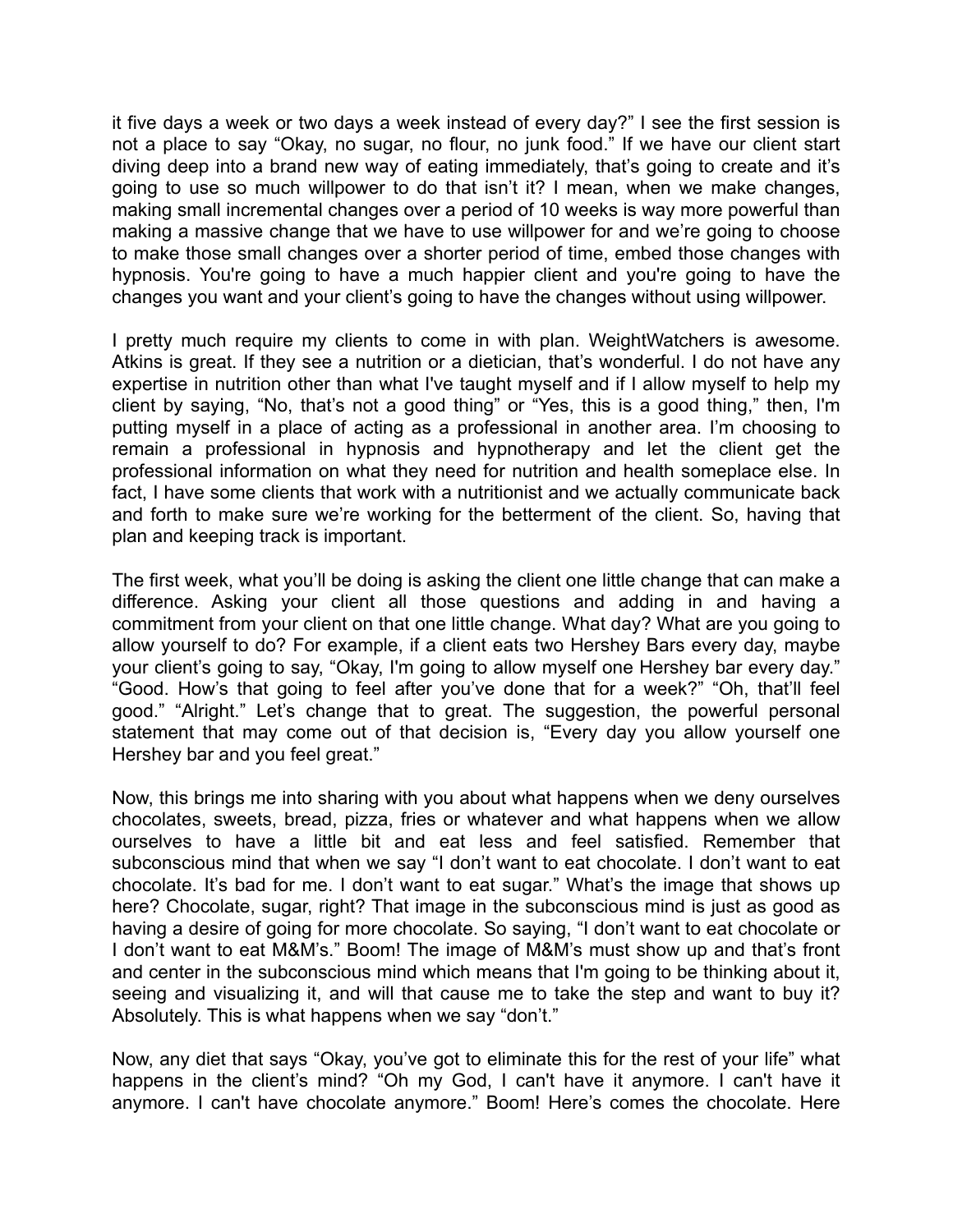it five days a week or two days a week instead of every day?" I see the first session is not a place to say "Okay, no sugar, no flour, no junk food." If we have our client start diving deep into a brand new way of eating immediately, that's going to create and it's going to use so much willpower to do that isn't it? I mean, when we make changes, making small incremental changes over a period of 10 weeks is way more powerful than making a massive change that we have to use willpower for and we're going to choose to make those small changes over a shorter period of time, embed those changes with hypnosis. You're going to have a much happier client and you're going to have the changes you want and your client's going to have the changes without using willpower.

I pretty much require my clients to come in with plan. WeightWatchers is awesome. Atkins is great. If they see a nutrition or a dietician, that's wonderful. I do not have any expertise in nutrition other than what I've taught myself and if I allow myself to help my client by saying, "No, that's not a good thing" or "Yes, this is a good thing," then, I'm putting myself in a place of acting as a professional in another area. I'm choosing to remain a professional in hypnosis and hypnotherapy and let the client get the professional information on what they need for nutrition and health someplace else. In fact, I have some clients that work with a nutritionist and we actually communicate back and forth to make sure we're working for the betterment of the client. So, having that plan and keeping track is important.

The first week, what you'll be doing is asking the client one little change that can make a difference. Asking your client all those questions and adding in and having a commitment from your client on that one little change. What day? What are you going to allow yourself to do? For example, if a client eats two Hershey Bars every day, maybe your client's going to say, "Okay, I'm going to allow myself one Hershey bar every day." "Good. How's that going to feel after you've done that for a week?" "Oh, that'll feel good." "Alright." Let's change that to great. The suggestion, the powerful personal statement that may come out of that decision is, "Every day you allow yourself one Hershey bar and you feel great."

Now, this brings me into sharing with you about what happens when we deny ourselves chocolates, sweets, bread, pizza, fries or whatever and what happens when we allow ourselves to have a little bit and eat less and feel satisfied. Remember that subconscious mind that when we say "I don't want to eat chocolate. I don't want to eat chocolate. It's bad for me. I don't want to eat sugar." What's the image that shows up here? Chocolate, sugar, right? That image in the subconscious mind is just as good as having a desire of going for more chocolate. So saying, "I don't want to eat chocolate or I don't want to eat M&M's." Boom! The image of M&M's must show up and that's front and center in the subconscious mind which means that I'm going to be thinking about it, seeing and visualizing it, and will that cause me to take the step and want to buy it? Absolutely. This is what happens when we say "don't."

Now, any diet that says "Okay, you've got to eliminate this for the rest of your life" what happens in the client's mind? "Oh my God, I can't have it anymore. I can't have it anymore. I can't have chocolate anymore." Boom! Here's comes the chocolate. Here